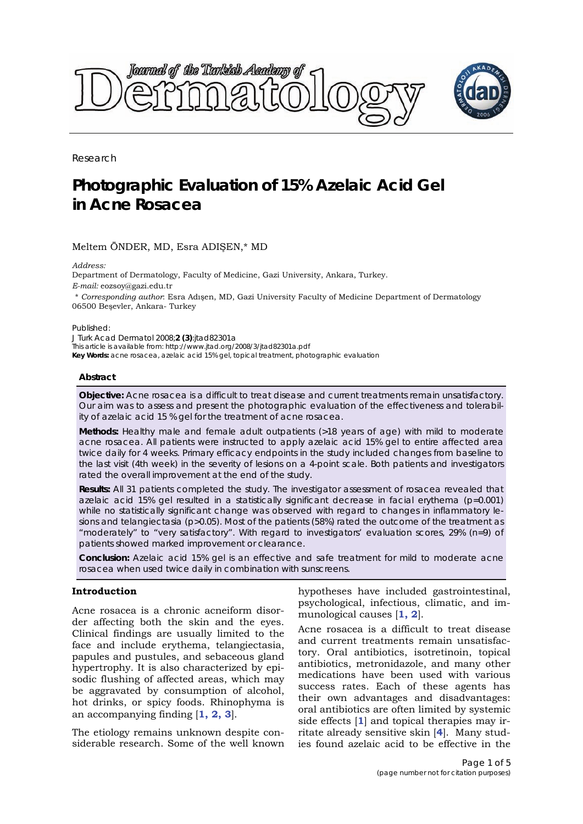

Research

# **Photographic Evaluation of 15% Azelaic Acid Gel in Acne Rosacea**

# Meltem ÖNDER, MD, Esra ADIŞEN,\* MD

*Address:* 

Department of Dermatology, Faculty of Medicine, Gazi University, Ankara, Turkey. *E-mail:* eozsoy@gazi.edu.tr

\* *Corresponding author*: Esra Adışen, MD, Gazi University Faculty of Medicine Department of Dermatology 06500 Beşevler, Ankara- Turkey

Published:

*J Turk Acad Dermatol* 2008;**2 (3)**:jtad82301a This article is available from: http://www.jtad.org/2008/3/jtad82301a.pdf **Key Words:** acne rosacea, azelaic acid 15% gel, topical treatment, photographic evaluation

#### **Abstract**

**Objective:** Acne rosacea is a difficult to treat disease and current treatments remain unsatisfactory. Our aim was to assess and present the photographic evaluation of the effectiveness and tolerability of azelaic acid 15 % gel for the treatment of acne rosacea.

**Methods:** Healthy male and female adult outpatients (>18 years of age) with mild to moderate acne rosacea. All patients were instructed to apply azelaic acid 15% gel to entire affected area twice daily for 4 weeks. Primary efficacy endpoints in the study included changes from baseline to the last visit (4th week) in the severity of lesions on a 4-point scale. Both patients and investigators rated the overall improvement at the end of the study.

**Results:** All 31 patients completed the study. The investigator assessment of rosacea revealed that azelaic acid 15% gel resulted in a statistically significant decrease in facial erythema (*p*=0.001) while no statistically significant change was observed with regard to changes in inflammatory lesions and telangiectasia (*p*>0.05). Most of the patients (58%) rated the outcome of the treatment as "moderately" to "very satisfactory". With regard to investigators' evaluation scores, 29% (n=9) of patients showed marked improvement or clearance.

**Conclusion:** Azelaic acid 15% gel is an effective and safe treatment for mild to moderate acne rosacea when used twice daily in combination with sunscreens.

# **Introduction**

Acne rosacea is a chronic acneiform disorder affecting both the skin and the eyes. Clinical findings are usually limited to the face and include erythema, telangiectasia, papules and pustules, and sebaceous gland hypertrophy. It is also characterized by episodic flushing of affected areas, which may be aggravated by consumption of alcohol, hot drinks, or spicy foods. Rhinophyma is an accompanying finding [**1, 2, 3**].

The etiology remains unknown despite considerable research. Some of the well known hypotheses have included gastrointestinal, psychological, infectious, climatic, and immunological causes [**1, 2**].

Acne rosacea is a difficult to treat disease and current treatments remain unsatisfactory. Oral antibiotics, isotretinoin, topical antibiotics, metronidazole, and many other medications have been used with various success rates. Each of these agents has their own advantages and disadvantages: oral antibiotics are often limited by systemic side effects [**1**] and topical therapies may irritate already sensitive skin [**4**]. Many studies found azelaic acid to be effective in the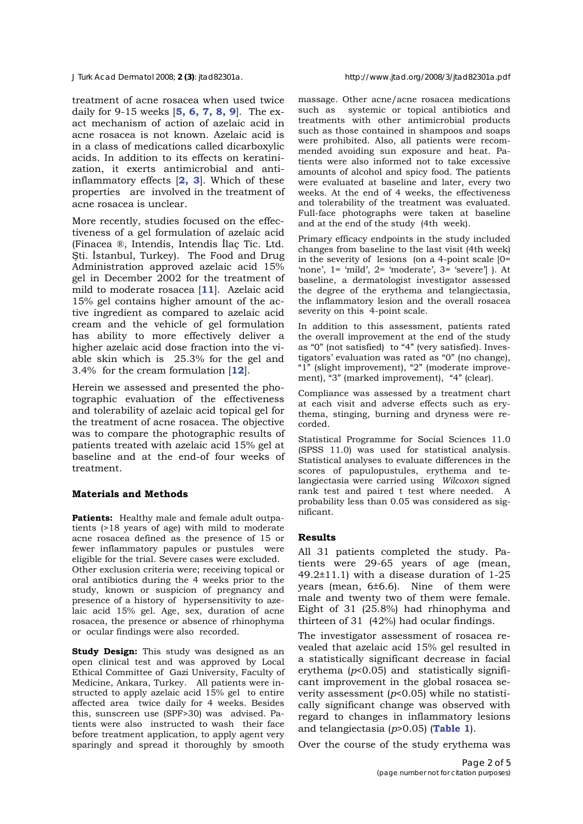#### *J Turk Acad Dermatol* 2008; **2 (3)**: jtad82301a. http://www.jtad.org/2008/3/jtad82301a.pdf

treatment of acne rosacea when used twice daily for 9-15 weeks [**5, 6, 7, 8, 9**]. The exact mechanism of action of azelaic acid in acne rosacea is not known. Azelaic acid is in a class of medications called dicarboxylic acids. In addition to its effects on keratinization, it exerts antimicrobial and antiinflammatory effects [**2, 3**]. Which of these properties are involved in the treatment of acne rosacea is unclear.

More recently, studies focused on the effectiveness of a gel formulation of azelaic acid (Finacea ®, Intendis, Intendis İlaç Tic. Ltd. Şti. İstanbul, Turkey). The Food and Drug Administration approved azelaic acid 15% gel in December 2002 for the treatment of mild to moderate rosacea [**11**]. Azelaic acid 15% gel contains higher amount of the active ingredient as compared to azelaic acid cream and the vehicle of gel formulation has ability to more effectively deliver a higher azelaic acid dose fraction into the viable skin which is 25.3% for the gel and 3.4% for the cream formulation [**12**].

Herein we assessed and presented the photographic evaluation of the effectiveness and tolerability of azelaic acid topical gel for the treatment of acne rosacea. The objective was to compare the photographic results of patients treated with azelaic acid 15% gel at baseline and at the end-of four weeks of treatment.

# **Materials and Methods**

**Patients:** Healthy male and female adult outpatients (>18 years of age) with mild to moderate acne rosacea defined as the presence of 15 or fewer inflammatory papules or pustules were eligible for the trial. Severe cases were excluded. Other exclusion criteria were; receiving topical or oral antibiotics during the 4 weeks prior to the study, known or suspicion of pregnancy and presence of a history of hypersensitivity to azelaic acid 15% gel. Age, sex, duration of acne rosacea, the presence or absence of rhinophyma or ocular findings were also recorded.

**Study Design:** This study was designed as an open clinical test and was approved by Local Ethical Committee of Gazi University, Faculty of Medicine, Ankara, Turkey. All patients were instructed to apply azelaic acid 15% gel to entire affected area twice daily for 4 weeks. Besides this, sunscreen use (SPF>30) was advised. Patients were also instructed to wash their face before treatment application, to apply agent very sparingly and spread it thoroughly by smooth massage. Other acne/acne rosacea medications such as systemic or topical antibiotics and treatments with other antimicrobial products such as those contained in shampoos and soaps were prohibited. Also, all patients were recommended avoiding sun exposure and heat. Patients were also informed not to take excessive amounts of alcohol and spicy food. The patients were evaluated at baseline and later, every two weeks. At the end of 4 weeks, the effectiveness and tolerability of the treatment was evaluated. Full-face photographs were taken at baseline and at the end of the study (4th week).

Primary efficacy endpoints in the study included changes from baseline to the last visit (4th week) in the severity of lesions (on a 4-point scale [0= 'none', 1= 'mild', 2= 'moderate', 3= 'severe'] ). At baseline, a dermatologist investigator assessed the degree of the erythema and telangiectasia, the inflammatory lesion and the overall rosacea severity on this 4-point scale.

In addition to this assessment, patients rated the overall improvement at the end of the study as "0" (not satisfied) to "4" (very satisfied). Investigators' evaluation was rated as "0" (no change), "1" (slight improvement), "2" (moderate improvement), "3" (marked improvement), "4" (clear).

Compliance was assessed by a treatment chart at each visit and adverse effects such as erythema, stinging, burning and dryness were recorded.

Statistical Programme for Social Sciences 11.0 (SPSS 11.0) was used for statistical analysis. Statistical analyses to evaluate differences in the scores of papulopustules, erythema and telangiectasia were carried using *Wilcoxon* signed rank test and paired t test where needed. A probability less than 0.05 was considered as significant.

# **Results**

All 31 patients completed the study. Patients were 29-65 years of age (mean, 49.2±11.1) with a disease duration of 1-25 years (mean, 6±6.6). Nine of them were male and twenty two of them were female. Eight of 31 (25.8%) had rhinophyma and thirteen of 31 (42%) had ocular findings.

The investigator assessment of rosacea revealed that azelaic acid 15% gel resulted in a statistically significant decrease in facial erythema (*p*<0.05) and statistically significant improvement in the global rosacea severity assessment (*p*<0.05) while no statistically significant change was observed with regard to changes in inflammatory lesions and telangiectasia (*p*>0.05) (**Table 1**).

Over the course of the study erythema was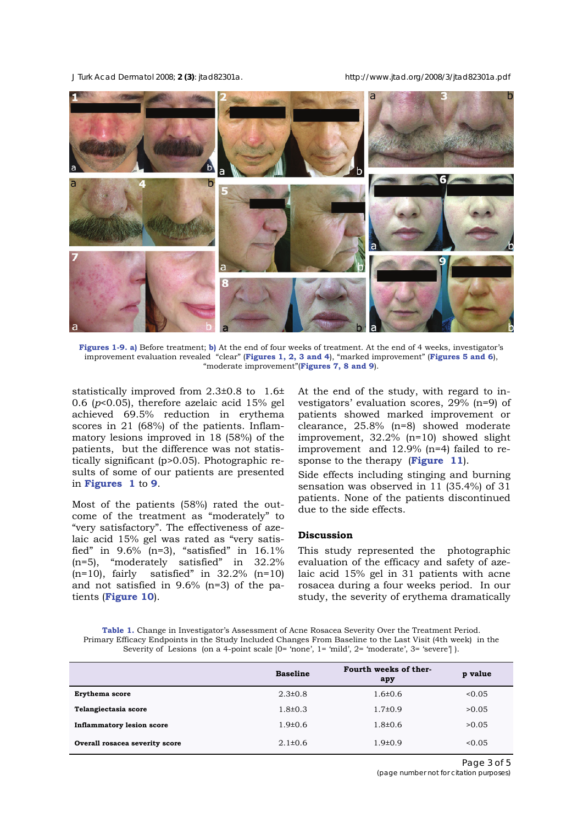*J Turk Acad Dermatol* 2008; **2 (3)**: jtad82301a. http://www.jtad.org/2008/3/jtad82301a.pdf



**Figures 1-9. a)** Before treatment; **b)** At the end of four weeks of treatment. At the end of 4 weeks, investigator's improvement evaluation revealed "clear" (**Figures 1, 2, 3 and 4**), "marked improvement" (**Figures 5 and 6**), "moderate improvement"(**Figures 7, 8 and 9**).

statistically improved from 2.3±0.8 to 1.6± 0.6 (*p*<0.05), therefore azelaic acid 15% gel achieved 69.5% reduction in erythema scores in 21 (68%) of the patients. Inflammatory lesions improved in 18 (58%) of the patients, but the difference was not statistically significant (p>0.05). Photographic results of some of our patients are presented in **Figures 1** to **9**.

Most of the patients (58%) rated the outcome of the treatment as "moderately" to "very satisfactory". The effectiveness of azelaic acid 15% gel was rated as "very satisfied" in  $9.6\%$  (n=3), "satisfied" in 16.1% (n=5), "moderately satisfied" in 32.2%  $(n=10)$ , fairly satisfied" in 32.2%  $(n=10)$ and not satisfied in 9.6% (n=3) of the patients (**Figure 10**).

At the end of the study, with regard to investigators' evaluation scores, 29% (n=9) of patients showed marked improvement or clearance, 25.8% (n=8) showed moderate improvement, 32.2% (n=10) showed slight improvement and 12.9% (n=4) failed to response to the therapy (**Figure 11**).

Side effects including stinging and burning sensation was observed in 11 (35.4%) of 31 patients. None of the patients discontinued due to the side effects.

# **Discussion**

This study represented the photographic evaluation of the efficacy and safety of azelaic acid 15% gel in 31 patients with acne rosacea during a four weeks period. In our study, the severity of erythema dramatically

**Table 1.** Change in Investigator's Assessment of Acne Rosacea Severity Over the Treatment Period. Primary Efficacy Endpoints in the Study Included Changes From Baseline to the Last Visit (4th week) in the Severity of Lesions (on a 4-point scale  $[0=$  'none',  $1=$  'mild',  $2=$  'moderate',  $3=$  'severe'].

|                                  | <b>Baseline</b> | Fourth weeks of ther-<br>apy | p value |
|----------------------------------|-----------------|------------------------------|---------|
| Erythema score                   | $2.3 \pm 0.8$   | $1.6 \pm 0.6$                | 0.05    |
| Telangiectasia score             | $1.8\pm0.3$     | $1.7 \pm 0.9$                | >0.05   |
| <b>Inflammatory lesion score</b> | $1.9 \pm 0.6$   | $1.8 \pm 0.6$                | >0.05   |
| Overall rosacea severity score   | $2.1\pm0.6$     | $1.9 \pm 0.9$                | 0.05    |

Page 3 of 5 *(page number not for citation purposes)*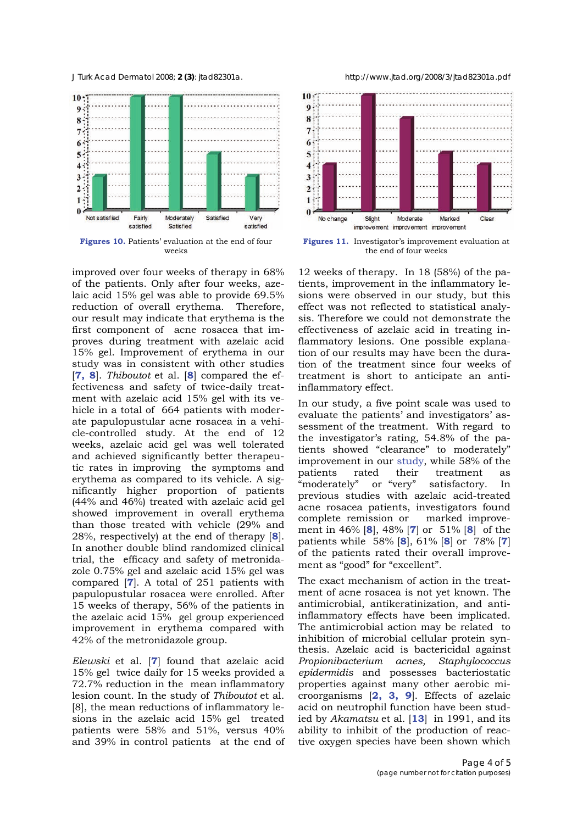*J Turk Acad Dermatol* 2008; **2 (3)**: jtad82301a. http://www.jtad.org/2008/3/jtad82301a.pdf



**Figures 10.** Patients' evaluation at the end of four weeks

improved over four weeks of therapy in 68% of the patients. Only after four weeks, azelaic acid 15% gel was able to provide 69.5% reduction of overall erythema. Therefore, our result may indicate that erythema is the first component of acne rosacea that improves during treatment with azelaic acid 15% gel. Improvement of erythema in our study was in consistent with other studies [**7, 8**]. *Thiboutot* et al. [**8**] compared the effectiveness and safety of twice-daily treatment with azelaic acid 15% gel with its vehicle in a total of 664 patients with moderate papulopustular acne rosacea in a vehicle-controlled study. At the end of 12 weeks, azelaic acid gel was well tolerated and achieved significantly better therapeutic rates in improving the symptoms and erythema as compared to its vehicle. A significantly higher proportion of patients (44% and 46%) treated with azelaic acid gel showed improvement in overall erythema than those treated with vehicle (29% and 28%, respectively) at the end of therapy [**8**]. In another double blind randomized clinical trial, the efficacy and safety of metronidazole 0.75% gel and azelaic acid 15% gel was compared [**7**]. A total of 251 patients with papulopustular rosacea were enrolled. After 15 weeks of therapy, 56% of the patients in the azelaic acid 15% gel group experienced improvement in erythema compared with 42% of the metronidazole group.

*Elewski* et al. [**7**] found that azelaic acid 15% gel twice daily for 15 weeks provided a 72.7% reduction in the mean inflammatory lesion count. In the study of *Thiboutot* et al. [8], the mean reductions of inflammatory lesions in the azelaic acid 15% gel treated patients were 58% and 51%, versus 40% and 39% in control patients at the end of



**Figures 11.** Investigator's improvement evaluation at the end of four weeks

12 weeks of therapy. In 18 (58%) of the patients, improvement in the inflammatory lesions were observed in our study, but this effect was not reflected to statistical analysis. Therefore we could not demonstrate the effectiveness of azelaic acid in treating inflammatory lesions. One possible explanation of our results may have been the duration of the treatment since four weeks of treatment is short to anticipate an antiinflammatory effect.

In our study, a five point scale was used to evaluate the patients' and investigators' assessment of the treatment. With regard to the investigator's rating, 54.8% of the patients showed "clearance" to moderately" improvement in our study, while 58% of the patients rated their treatment as "moderately" or "very" satisfactory. In previous studies with azelaic acid-treated acne rosacea patients, investigators found complete remission or marked improvement in 46% [**8**], 48% [**7**] or 51% [**8**] of the patients while 58% [**8**], 61% [**8**] or 78% [**7**] of the patients rated their overall improvement as "good" for "excellent".

The exact mechanism of action in the treatment of acne rosacea is not yet known. The antimicrobial, antikeratinization, and antiinflammatory effects have been implicated. The antimicrobial action may be related to inhibition of microbial cellular protein synthesis. Azelaic acid is bactericidal against *Propionibacterium acnes, Staphylococcus epidermidis* and possesses bacteriostatic properties against many other aerobic microorganisms [**2, 3, 9**]. Effects of azelaic acid on neutrophil function have been studied by *Akamatsu* et al. [**13**] in 1991, and its ability to inhibit of the production of reactive oxygen species have been shown which